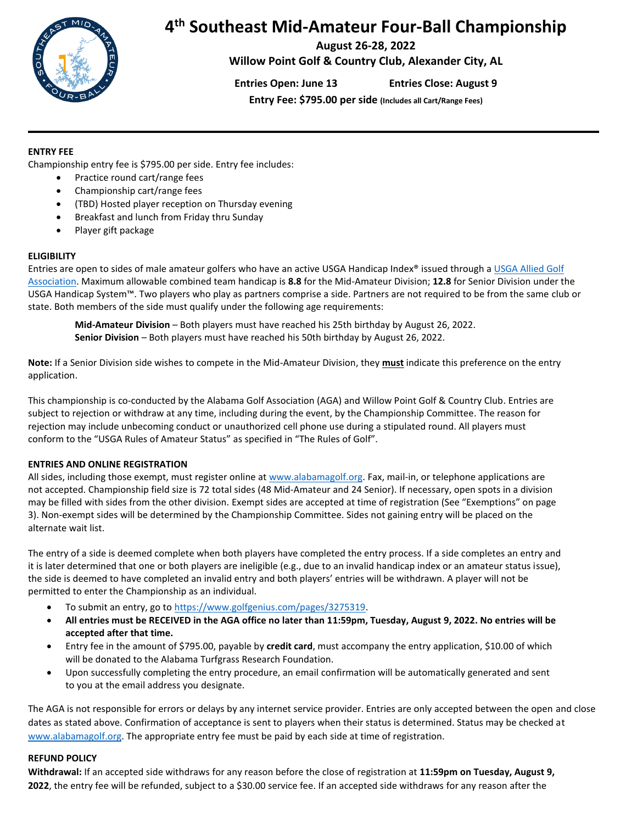

# **4 th Southeast Mid-Amateur Four-Ball Championship**

**August 26-28, 2022**

**Willow Point Golf & Country Club, Alexander City, AL**

**Entries Open: June 13 Entries Close: August 9**

**Entry Fee: \$795.00 per side (Includes all Cart/Range Fees)**

## **ENTRY FEE**

Championship entry fee is \$795.00 per side. Entry fee includes:

- Practice round cart/range fees
- Championship cart/range fees
- (TBD) Hosted player reception on Thursday evening
- Breakfast and lunch from Friday thru Sunday
- Player gift package

# **ELIGIBILITY**

Entries are open to sides of male amateur golfers who have an active USGA Handicap Index® issued through a [USGA Allied Golf](http://www.usga.org/content/usga/home-page/about/find-your-allied-golf-association-usga-usa.html)  [Association.](http://www.usga.org/content/usga/home-page/about/find-your-allied-golf-association-usga-usa.html) Maximum allowable combined team handicap is **8.8** for the Mid-Amateur Division; **12.8** for Senior Division under the USGA Handicap System™. Two players who play as partners comprise a side. Partners are not required to be from the same club or state. Both members of the side must qualify under the following age requirements:

**Mid-Amateur Division** – Both players must have reached his 25th birthday by August 26, 2022. **Senior Division** – Both players must have reached his 50th birthday by August 26, 2022.

**Note:** If a Senior Division side wishes to compete in the Mid-Amateur Division, they **must** indicate this preference on the entry application.

This championship is co-conducted by the Alabama Golf Association (AGA) and Willow Point Golf & Country Club. Entries are subject to rejection or withdraw at any time, including during the event, by the Championship Committee. The reason for rejection may include unbecoming conduct or unauthorized cell phone use during a stipulated round. All players must conform to the "USGA Rules of Amateur Status" as specified in "The Rules of Golf".

# **ENTRIES AND ONLINE REGISTRATION**

All sides, including those exempt, must register online a[t www.alabamagolf.org.](http://www.alabamagolf.org/) Fax, mail-in, or telephone applications are not accepted. Championship field size is 72 total sides (48 Mid-Amateur and 24 Senior). If necessary, open spots in a division may be filled with sides from the other division. Exempt sides are accepted at time of registration (See "Exemptions" on page 3). Non-exempt sides will be determined by the Championship Committee. Sides not gaining entry will be placed on the alternate wait list.

The entry of a side is deemed complete when both players have completed the entry process. If a side completes an entry and it is later determined that one or both players are ineligible (e.g., due to an invalid handicap index or an amateur status issue), the side is deemed to have completed an invalid entry and both players' entries will be withdrawn. A player will not be permitted to enter the Championship as an individual.

- To submit an entry, go t[o https://www.golfgenius.com/pages/3275319.](https://www.golfgenius.com/pages/3275319)
- **All entries must be RECEIVED in the AGA office no later than 11:59pm, Tuesday, August 9, 2022. No entries will be accepted after that time.**
- Entry fee in the amount of \$795.00, payable by **credit card**, must accompany the entry application, \$10.00 of which will be donated to the Alabama Turfgrass Research Foundation.
- Upon successfully completing the entry procedure, an email confirmation will be automatically generated and sent to you at the email address you designate.

The AGA is not responsible for errors or delays by any internet service provider. Entries are only accepted between the open and close dates as stated above. Confirmation of acceptance is sent to players when their status is determined. Status may be checked at [www.alabamagolf.org.](file://///agasrv01/company/ChampionshipFolders/AGA%20Championships/SoutheastMid_AmateurFourBall/2019/www.alabamagolf.org) The appropriate entry fee must be paid by each side at time of registration.

#### **REFUND POLICY**

**Withdrawal:** If an accepted side withdraws for any reason before the close of registration at **11:59pm on Tuesday, August 9, 2022**, the entry fee will be refunded, subject to a \$30.00 service fee. If an accepted side withdraws for any reason after the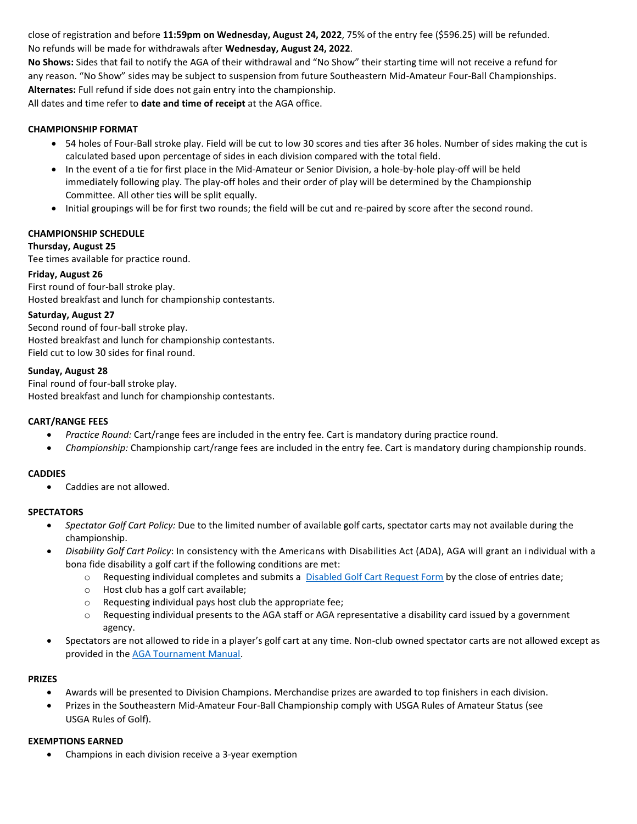close of registration and before **11:59pm on Wednesday, August 24, 2022**, 75% of the entry fee (\$596.25) will be refunded. No refunds will be made for withdrawals after **Wednesday, August 24, 2022**.

**No Shows:** Sides that fail to notify the AGA of their withdrawal and "No Show" their starting time will not receive a refund for any reason. "No Show" sides may be subject to suspension from future Southeastern Mid-Amateur Four-Ball Championships. **Alternates:** Full refund if side does not gain entry into the championship.

All dates and time refer to **date and time of receipt** at the AGA office.

# **CHAMPIONSHIP FORMAT**

- 54 holes of Four-Ball stroke play. Field will be cut to low 30 scores and ties after 36 holes. Number of sides making the cut is calculated based upon percentage of sides in each division compared with the total field.
- In the event of a tie for first place in the Mid-Amateur or Senior Division, a hole-by-hole play-off will be held immediately following play. The play-off holes and their order of play will be determined by the Championship Committee. All other ties will be split equally.
- Initial groupings will be for first two rounds; the field will be cut and re-paired by score after the second round.

#### **CHAMPIONSHIP SCHEDULE**

#### **Thursday, August 25**

Tee times available for practice round.

## **Friday, August 26**

First round of four-ball stroke play. Hosted breakfast and lunch for championship contestants.

#### **Saturday, August 27**

Second round of four-ball stroke play. Hosted breakfast and lunch for championship contestants. Field cut to low 30 sides for final round.

## **Sunday, August 28**

Final round of four-ball stroke play. Hosted breakfast and lunch for championship contestants.

#### **CART/RANGE FEES**

- *Practice Round:* Cart/range fees are included in the entry fee. Cart is mandatory during practice round.
- *Championship:* Championship cart/range fees are included in the entry fee. Cart is mandatory during championship rounds.

#### **CADDIES**

• Caddies are not allowed.

#### **SPECTATORS**

- *Spectator Golf Cart Policy:* Due to the limited number of available golf carts, spectator carts may not available during the championship.
- *Disability Golf Cart Policy*: In consistency with the Americans with Disabilities Act (ADA), AGA will grant an individual with a bona fide disability a golf cart if the following conditions are met:
	- o Requesting individual completes and submits a [Disabled Golf Cart Request Form](https://form.jotform.com/80464838910159) by the close of entries date;
	- o Host club has a golf cart available;
	- o Requesting individual pays host club the appropriate fee;
	- $\circ$  Requesting individual presents to the AGA staff or AGA representative a disability card issued by a government agency.
- Spectators are not allowed to ride in a player's golf cart at any time. Non-club owned spectator carts are not allowed except as provided in th[e AGA Tournament Manual.](http://www.alabamagolf.org/images/alabamagolf/site/champ/tournamentmanual.pdf)

#### **PRIZES**

- Awards will be presented to Division Champions. Merchandise prizes are awarded to top finishers in each division.
- Prizes in the Southeastern Mid-Amateur Four-Ball Championship comply with USGA Rules of Amateur Status (see USGA Rules of Golf).

#### **EXEMPTIONS EARNED**

• Champions in each division receive a 3-year exemption